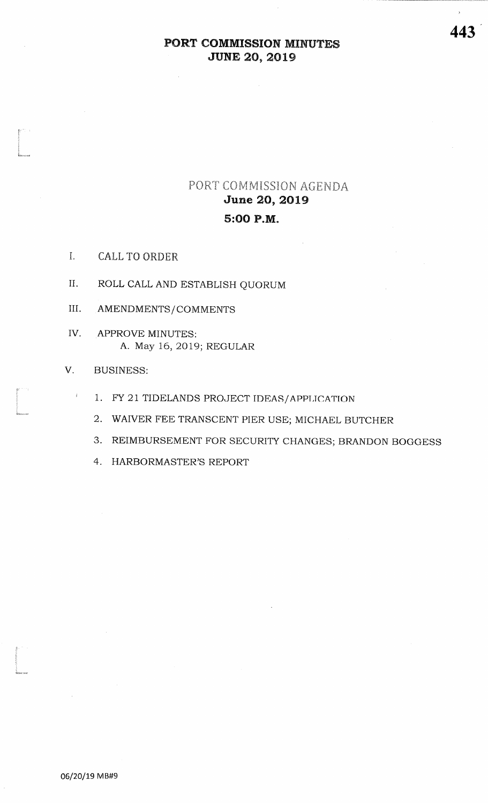# PORT COMMISSION AGENDA **June 20, 2019** 5:00 P.M.

- I. **CALL TO ORDER**
- II. ROLL CALL AND ESTABLISH QUORUM
- III. AMENDMENTS/COMMENTS
- IV. APPROVE MINUTES: A. May 16, 2019; REGULAR

#### V. **BUSINESS:**

 $\mathbf{I}$ 

- 1. FY 21 TIDELANDS PROJECT IDEAS/APPLICATION
- 2. WAIVER FEE TRANSCENT PIER USE; MICHAEL BUTCHER
- 3. REIMBURSEMENT FOR SECURITY CHANGES; BRANDON BOGGESS
- 4. HARBORMASTER'S REPORT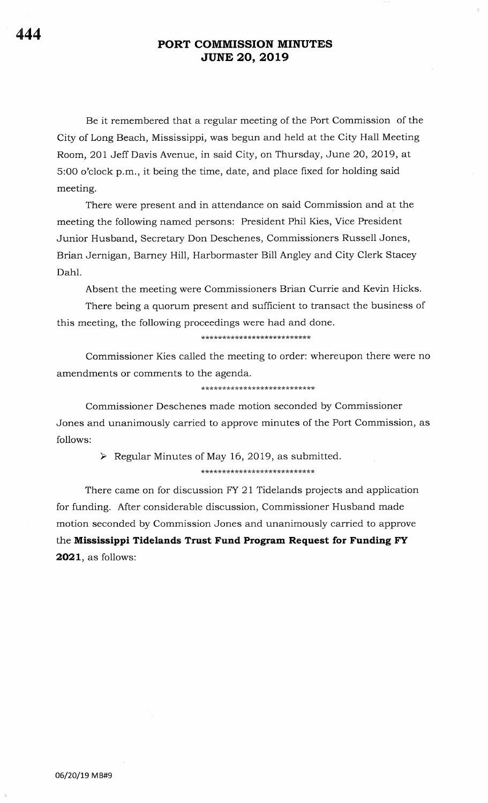Be it remembered that a regular meeting of the Port Commission of the City of Long Beach, Mississippi, was begun and held at the City Hall Meeting Room, 2Ol Jeff Davis Avenue, in said City, on Thursday, June 20,2OI9, at 5:OO o'clock p.m., it being the time, date, and place fixed for holding said meeting.

There were present and in attendance on said Commission and at the meeting the following named persons: President Phil Kies, Vice President Junior Husband, Secretary Don Deschenes, Commissioners Russell Jones, Brian Jernigan, Barney Hill, Harbormaster Bill Angley and City Clerk Stacey Dahl.

Absent the meeting were Commissioners Brian Currie and Kevin Hicks.

There being a quorum present and sufficient to transact the business of this meeting, the following proceedings were had and done.

\*\*\*\*\*\*\*\*\*\*\*\*\*\*\*\*\*\*\*\*\*\*\*\*\*\*

Commissioner Kies called the meeting to order: whereupon there were no. amendments or comments to the agenda.

\*\*\*\*\*\*\*\*\*\*\*\*\*\*\*\*\*\*\*\*\*\*\*\*\*\*\*\*

Commissioner Deschenes made motion seconded by Commissioner Jones and unanimously carried to approve minutes of the Port Commission, as follows:

 $\triangleright$  Regular Minutes of May 16, 2019, as submitted.

\*\*\*\*\*\*\*\*\*\* rk rtrkrk\*\*\*\*\*\*\*\*\*\*r(rr\*

There came on for discussion FY 21 Tidelands projects and application for funding. After considerable discussion, Commissioner Husband made motion seconded by Commission Jones and unanimously carried to approve the Mississippi Tidelands Trust Fund Program Request for Funding FY 2021, as follows: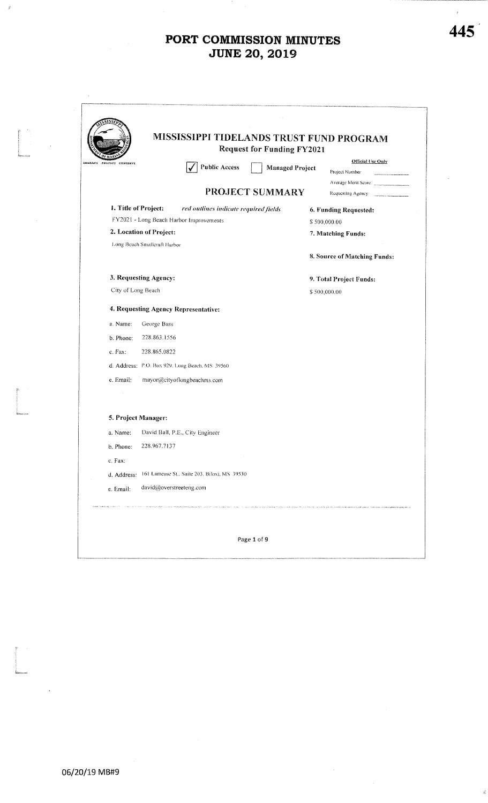|                      |                              |                                                | <b>Request for Funding FY2021</b> |                                     |
|----------------------|------------------------------|------------------------------------------------|-----------------------------------|-------------------------------------|
| PROTECT<br>CONSERVE  |                              | <b>Public Access</b>                           | <b>Managed Project</b>            | Official Use Only<br>Project Number |
|                      |                              |                                                |                                   | Average Merit Score:                |
|                      |                              |                                                | PROJECT SUMMARY                   | Requesting Agency:                  |
| 1. Title of Project: |                              | red outlines indicate required fields          |                                   | 6. Funding Requested:               |
|                      |                              | FY2021 - Long Beach Harbor Improvements        |                                   | \$500,000.00                        |
|                      | 2. Location of Project:      |                                                |                                   | 7. Matching Funds:                  |
|                      | Long Beach Smalleraft Harbor |                                                |                                   |                                     |
|                      |                              |                                                |                                   | 8. Source of Matching Funds:        |
|                      | 3. Requesting Agency:        |                                                |                                   | 9. Total Project Funds:             |
| City of Long Beach   |                              |                                                |                                   | \$500,000.00                        |
|                      |                              | 4. Requesting Agency Representative:           |                                   |                                     |
| a. Name:             | George Bass                  |                                                |                                   |                                     |
| b. Phone:            | 228.863.1556                 |                                                |                                   |                                     |
| c. Fax:              | 228.865.0822                 |                                                |                                   |                                     |
|                      |                              | d. Address: P.O. Box 929, Long Beach, MS 39560 |                                   |                                     |
| e. Email:            |                              | mayor@cityoflongbeachms.com                    |                                   |                                     |
|                      |                              |                                                |                                   |                                     |
|                      | 5. Project Manager:          |                                                |                                   |                                     |
| a. Name:             |                              | David Ball, P.E., City Engineer                |                                   |                                     |
| b, Phone:            | 228.967.7137                 |                                                |                                   |                                     |
| c. Fax:              |                              |                                                |                                   |                                     |
| d. Address:          |                              | 161 Lameuse St., Suite 203. Biloxi, MS 39530   |                                   |                                     |
| e. Email:            | david@overstreeteng.com      |                                                |                                   |                                     |

í.

 $\widetilde{\mathcal{G}}$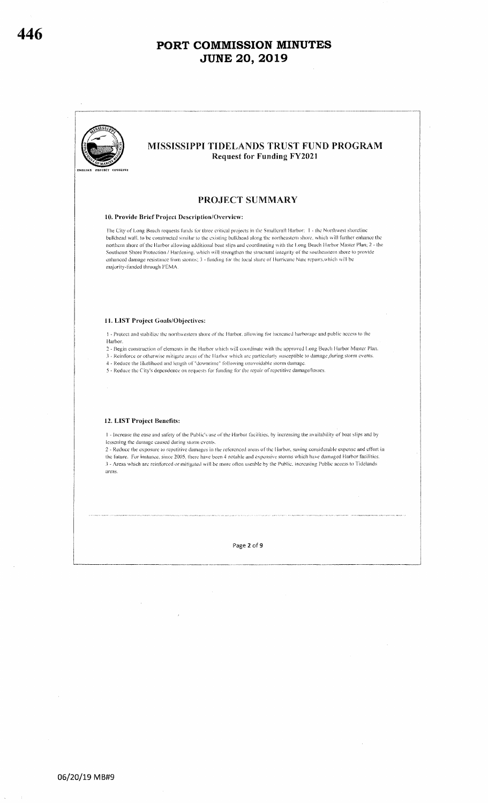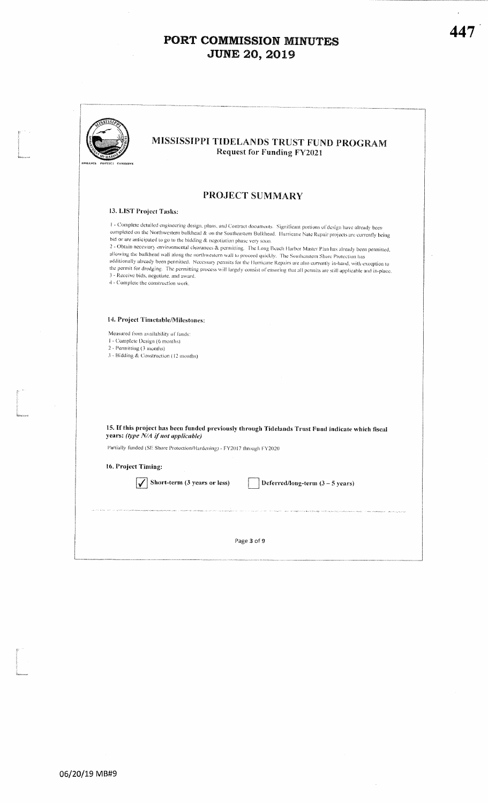$\bar{\gamma}$ 

| ENHANCE PROTECT CONSERVE  | MISSISSIPPI TIDELANDS TRUST FUND PROGRAM<br><b>Request for Funding FY2021</b>                                                                                                                                                                                                                                                                                                                                                                                                                                                                                                                                                                                                                                                                                                                                                                                                                                                                     |
|---------------------------|---------------------------------------------------------------------------------------------------------------------------------------------------------------------------------------------------------------------------------------------------------------------------------------------------------------------------------------------------------------------------------------------------------------------------------------------------------------------------------------------------------------------------------------------------------------------------------------------------------------------------------------------------------------------------------------------------------------------------------------------------------------------------------------------------------------------------------------------------------------------------------------------------------------------------------------------------|
|                           | PROJECT SUMMARY                                                                                                                                                                                                                                                                                                                                                                                                                                                                                                                                                                                                                                                                                                                                                                                                                                                                                                                                   |
|                           | 13. LIST Project Tasks:                                                                                                                                                                                                                                                                                                                                                                                                                                                                                                                                                                                                                                                                                                                                                                                                                                                                                                                           |
|                           | 1 - Complete detailed engineering design, plans, and Contract documents. Significant portions of design have already been<br>completed on the Northwestern bulkhead & on the Southeastern Bulkhead. Hurricane Nate Repair projects are currently being<br>bid or are anticipated to go to the bidding & negotiation phase very soon.<br>2 - Obtain necessary environmental clearances & permitting. The Long Beach Harbor Master Plan has already been permitted,<br>allowing the bulkhead wall along the northwestern wall to proceed quickly. The Southcastern Shore Protection has<br>additionally already been permitted. Necessary permits for the Hurricane Repairs are also currently in-hand, with exception to<br>the permit for dredging. The permitting process will largely consist of ensuring that all permits are still applicable and in-place.<br>3 - Receive bids, negotiate, and award.<br>4 - Complete the construction work. |
| 2 - Permitting (3 months) | 14. Project Timetable/Milestones:<br>Measured from availability of funds:<br>1 - Complete Design (6 months)<br>3 - Bidding & Construction (12 months)                                                                                                                                                                                                                                                                                                                                                                                                                                                                                                                                                                                                                                                                                                                                                                                             |
|                           |                                                                                                                                                                                                                                                                                                                                                                                                                                                                                                                                                                                                                                                                                                                                                                                                                                                                                                                                                   |
|                           | 15. If this project has been funded previously through Tidelands Trust Fund indicate which fiscal<br>years: (type N/A if not applicable)                                                                                                                                                                                                                                                                                                                                                                                                                                                                                                                                                                                                                                                                                                                                                                                                          |
|                           | Partially funded (SE Shore Protection/Flardening) - FY2017 through FY2020                                                                                                                                                                                                                                                                                                                                                                                                                                                                                                                                                                                                                                                                                                                                                                                                                                                                         |
| 16. Project Timing:       |                                                                                                                                                                                                                                                                                                                                                                                                                                                                                                                                                                                                                                                                                                                                                                                                                                                                                                                                                   |
|                           | Short-term (3 years or less)<br>Deferred/long-term $(3 - 5$ years)<br>.<br>Calebrat completed with the contact of the Manner and Alexander Complete complete and a series of the contact                                                                                                                                                                                                                                                                                                                                                                                                                                                                                                                                                                                                                                                                                                                                                          |
|                           | Page 3 of 9                                                                                                                                                                                                                                                                                                                                                                                                                                                                                                                                                                                                                                                                                                                                                                                                                                                                                                                                       |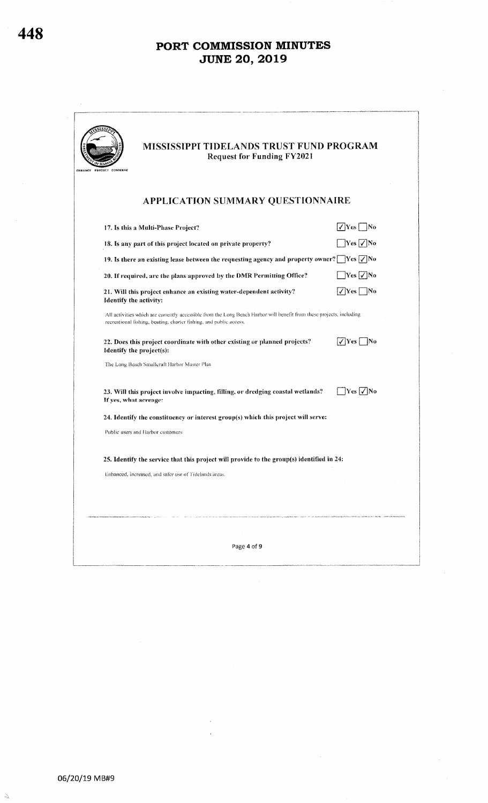| MISSISSIPPI TIDELANDS TRUST FUND PROGRAM<br><b>Request for Funding FY2021</b><br>PROTECT CONSERVE                                                                                          |                            |
|--------------------------------------------------------------------------------------------------------------------------------------------------------------------------------------------|----------------------------|
| APPLICATION SUMMARY QUESTIONNAIRE                                                                                                                                                          |                            |
| 17. Is this a Multi-Phase Project?                                                                                                                                                         | $\sqrt{Y}$ es No           |
| 18. Is any part of this project located on private property?                                                                                                                               | $\exists$ Yes $\Box$ No    |
| 19. Is there an existing lease between the requesting agency and property owner? $\Box$ Yes $\Box$ No                                                                                      |                            |
| 20. If required, are the plans approved by the DMR Permitting Office?                                                                                                                      | $\exists$ Yes $\Box$ No    |
| 21. Will this project enhance an existing water-dependent activity?<br>Identify the activity:                                                                                              | $\sqrt{Y}$ es No           |
| All activities which are currently accessible from the Long Beach Harbor will benefit from these projects, including<br>recreational fishing, boating, charter fishing, and public access. |                            |
| 22. Does this project coordinate with other existing or planned projects?<br>Identify the project(s):                                                                                      | $\sqrt{Y}$ es<br> No       |
| The Long Beach Smallcraft Harbor Master Plan                                                                                                                                               |                            |
| 23. Will this project involve impacting, filling, or dredging coastal wetlands?<br>If yes, what acreage:                                                                                   | $\gamma$ es $\sqrt{\ }$ No |
| 24. Identify the constituency or interest group(s) which this project will serve:                                                                                                          |                            |
| Public users and Harbor customers                                                                                                                                                          |                            |
| 25. Identify the service that this project will provide to the group(s) identified in 24:                                                                                                  |                            |
| Enhanced, increased, and safer use of Tidelands areas.                                                                                                                                     |                            |
|                                                                                                                                                                                            |                            |
|                                                                                                                                                                                            |                            |
|                                                                                                                                                                                            |                            |

 $\frac{\partial \chi}{\partial \hat{g}_i}$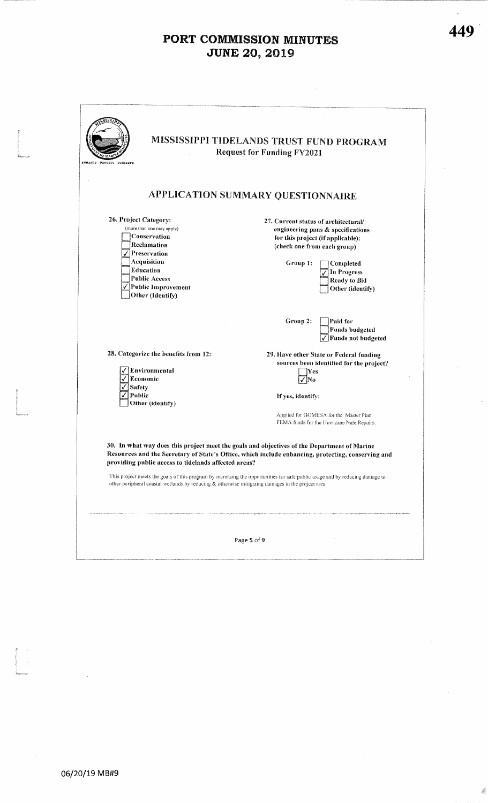| MISSISSIPPI TIDELANDS TRUST FUND PROGRAM<br>ENMANCE PROTECT CONSERVE                                                                                                                                                                                                                                                                                                                                                                                                                           | <b>Request for Funding FY2021</b>    |                                                                                       |
|------------------------------------------------------------------------------------------------------------------------------------------------------------------------------------------------------------------------------------------------------------------------------------------------------------------------------------------------------------------------------------------------------------------------------------------------------------------------------------------------|--------------------------------------|---------------------------------------------------------------------------------------|
| APPLICATION SUMMARY QUESTIONNAIRE                                                                                                                                                                                                                                                                                                                                                                                                                                                              |                                      |                                                                                       |
| 26. Project Category:                                                                                                                                                                                                                                                                                                                                                                                                                                                                          | 27. Current status of architectural/ |                                                                                       |
| (more than one may apply)                                                                                                                                                                                                                                                                                                                                                                                                                                                                      |                                      | engineering pans & specifications                                                     |
| <b>Conservation</b>                                                                                                                                                                                                                                                                                                                                                                                                                                                                            |                                      | for this project (if applicable):                                                     |
| Reclamation<br>$\sqrt{\text{P}}$ Preservation                                                                                                                                                                                                                                                                                                                                                                                                                                                  | (check one from each group)          |                                                                                       |
|                                                                                                                                                                                                                                                                                                                                                                                                                                                                                                |                                      |                                                                                       |
| Acquisition<br><b>Education</b>                                                                                                                                                                                                                                                                                                                                                                                                                                                                | Group 1:                             | Completed                                                                             |
| Public Access                                                                                                                                                                                                                                                                                                                                                                                                                                                                                  |                                      | In Progress                                                                           |
| √Public Improvement                                                                                                                                                                                                                                                                                                                                                                                                                                                                            |                                      | Ready to Bid                                                                          |
| Other (Identify)                                                                                                                                                                                                                                                                                                                                                                                                                                                                               |                                      | Other (identify)                                                                      |
|                                                                                                                                                                                                                                                                                                                                                                                                                                                                                                | Group 2:                             | Paid for<br><b>Funds budgeted</b><br>$\sqrt{\frac{1}{2}}$ Funds not budgeted          |
| 28. Categorize the benefits from 12:                                                                                                                                                                                                                                                                                                                                                                                                                                                           |                                      | 29. Have other State or Federal funding                                               |
|                                                                                                                                                                                                                                                                                                                                                                                                                                                                                                |                                      | sources been identified for the project?                                              |
| Environmental                                                                                                                                                                                                                                                                                                                                                                                                                                                                                  | Yes                                  |                                                                                       |
| √ Economic                                                                                                                                                                                                                                                                                                                                                                                                                                                                                     | Nο                                   |                                                                                       |
| Safety                                                                                                                                                                                                                                                                                                                                                                                                                                                                                         |                                      |                                                                                       |
| Public<br>Other (identify)                                                                                                                                                                                                                                                                                                                                                                                                                                                                     | If yes, identify:                    |                                                                                       |
|                                                                                                                                                                                                                                                                                                                                                                                                                                                                                                |                                      | Applied for GOMESA for the Master Plan.<br>FEMA funds for the Hurricane Nate Repairs. |
| 30. In what way does this project meet the goals and objectives of the Department of Marine<br>Resources and the Secretary of State's Office, which include enhancing, protecting, conserving and<br>providing public access to tidelands affected areas?<br>This project meets the goals of this program by increasing the opportunities for safe public usage and by reducing damage to<br>other peripheral coastal wetlands by reducing & otherwise mitigating damages in the project area. |                                      |                                                                                       |
|                                                                                                                                                                                                                                                                                                                                                                                                                                                                                                | Page 5 of 9                          |                                                                                       |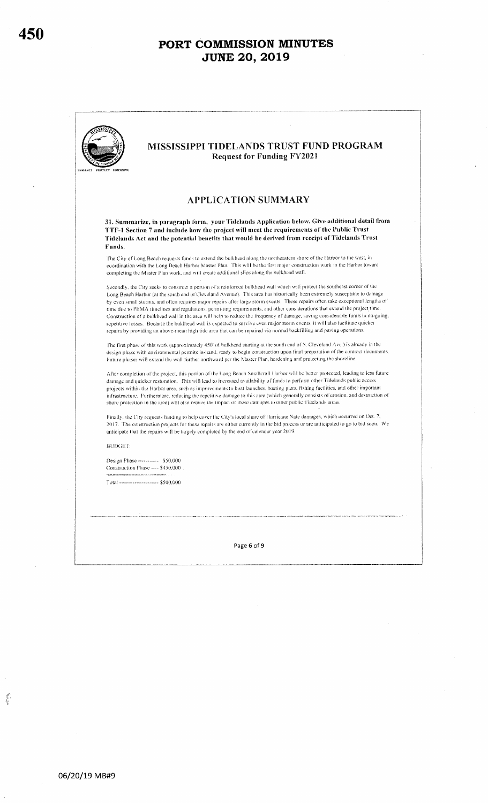

L.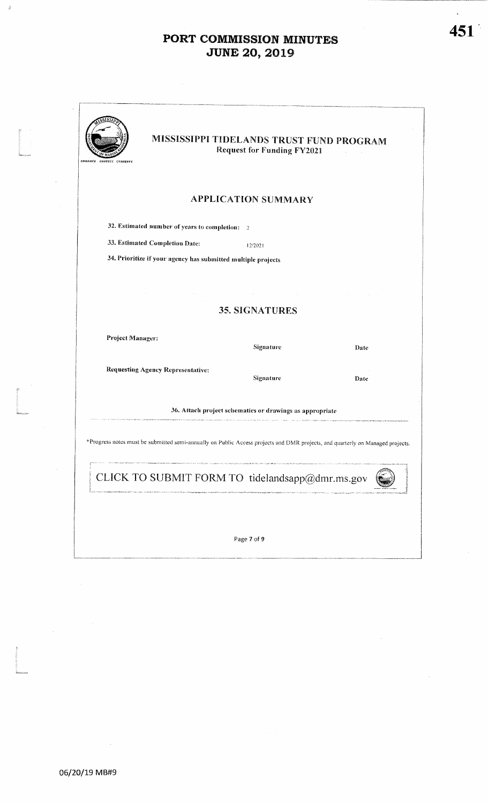| ENHANCE PROTECT CONSERVE                                                                                                       | MISSISSIPPI TIDELANDS TRUST FUND PROGRAM<br><b>Request for Funding FY2021</b> |      |
|--------------------------------------------------------------------------------------------------------------------------------|-------------------------------------------------------------------------------|------|
|                                                                                                                                | <b>APPLICATION SUMMARY</b>                                                    |      |
| 32. Estimated number of years to completion: 2                                                                                 |                                                                               |      |
| 33. Estimated Completion Date:                                                                                                 | 12/2021                                                                       |      |
| 34. Prioritize if your agency has submitted multiple projects                                                                  |                                                                               |      |
|                                                                                                                                |                                                                               |      |
|                                                                                                                                | 35. SIGNATURES                                                                |      |
| Project Manager:                                                                                                               | Signature                                                                     | Date |
| <b>Requesting Agency Representative:</b>                                                                                       | Signature                                                                     | Date |
|                                                                                                                                | 36. Attach project schematics or drawings as appropriate                      |      |
| *Progress notes must be submitted semi-annually on Public Access projects and DMR projects, and quarterly on Managed projects. |                                                                               |      |
| CLICK TO SUBMIT FORM TO tidelandsapp@dmr.ms.gov                                                                                |                                                                               |      |
|                                                                                                                                |                                                                               |      |
|                                                                                                                                |                                                                               |      |

 $451<sup>°</sup>$ 

 $\widetilde{\mathcal{G}}$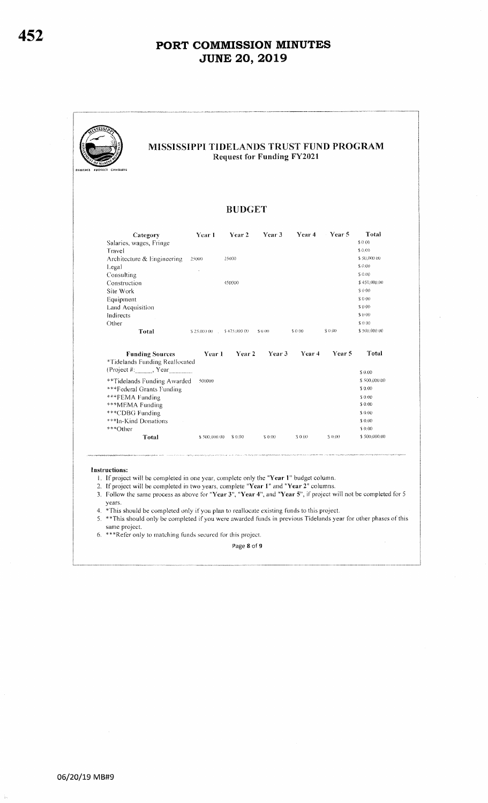|                            |                                                                                                                                                                                            | <b>BUDGET</b>                                                                           |                                                           |                             |                  |                                                                                                                                                                                            |
|----------------------------|--------------------------------------------------------------------------------------------------------------------------------------------------------------------------------------------|-----------------------------------------------------------------------------------------|-----------------------------------------------------------|-----------------------------|------------------|--------------------------------------------------------------------------------------------------------------------------------------------------------------------------------------------|
| Category                   | Year 1                                                                                                                                                                                     | Year 2                                                                                  | Year 3                                                    | Year 4                      | Year 5           | Total                                                                                                                                                                                      |
| Salaries, wages, Fringe    |                                                                                                                                                                                            |                                                                                         |                                                           |                             |                  | \$0.00                                                                                                                                                                                     |
|                            |                                                                                                                                                                                            |                                                                                         |                                                           |                             |                  | \$0.00                                                                                                                                                                                     |
| Architecture & Engineering | 25000                                                                                                                                                                                      | 25000                                                                                   |                                                           |                             |                  | \$50,000.00                                                                                                                                                                                |
|                            |                                                                                                                                                                                            |                                                                                         |                                                           |                             |                  | \$0.00                                                                                                                                                                                     |
|                            |                                                                                                                                                                                            |                                                                                         |                                                           |                             |                  | \$0.00                                                                                                                                                                                     |
|                            |                                                                                                                                                                                            | 450000                                                                                  |                                                           |                             |                  | \$450,000,00                                                                                                                                                                               |
|                            |                                                                                                                                                                                            |                                                                                         |                                                           |                             |                  | \$0.00                                                                                                                                                                                     |
|                            |                                                                                                                                                                                            |                                                                                         |                                                           |                             |                  | \$000                                                                                                                                                                                      |
|                            |                                                                                                                                                                                            |                                                                                         |                                                           |                             |                  | \$0.00                                                                                                                                                                                     |
|                            |                                                                                                                                                                                            |                                                                                         |                                                           |                             |                  | \$0.00                                                                                                                                                                                     |
|                            |                                                                                                                                                                                            |                                                                                         |                                                           |                             |                  | \$000                                                                                                                                                                                      |
|                            |                                                                                                                                                                                            |                                                                                         | \$0.00                                                    | \$0.00                      | \$ 0.00          | \$500,000.00                                                                                                                                                                               |
|                            | 500000                                                                                                                                                                                     |                                                                                         |                                                           | Year 4                      | Year 5           | Total<br>\$0.00<br>\$500,000.00<br>\$0.00<br>\$0.00<br>\$0.00<br>\$ 0.00<br>\$ 0.00                                                                                                        |
|                            |                                                                                                                                                                                            |                                                                                         |                                                           |                             |                  | \$0.00<br>\$500,000.00                                                                                                                                                                     |
|                            |                                                                                                                                                                                            |                                                                                         |                                                           |                             |                  |                                                                                                                                                                                            |
|                            | Construction<br>Land Acquisition<br>Total<br><b>Funding Sources</b><br>***Federal Grants Funding<br>***FEMA Funding<br>***MEMA Funding<br>***CDBG Funding<br>***In-Kind Donations<br>Total | *Tidelands Funding Reallocated<br>$(Project #:$ , $Year$<br>**Tidelands Funding Awarded | \$25,000.00 \$475,000.00<br>Year 1<br>\$500,000.00 \$0.00 | Year <sub>2</sub><br>\$0.00 | Year 3<br>\$0.00 | \$ 0.00<br>1. If project will be completed in one year, complete only the "Year 1" budget column.<br>2. If project will be completed in two years, complete "Year 1" and "Year 2" columns. |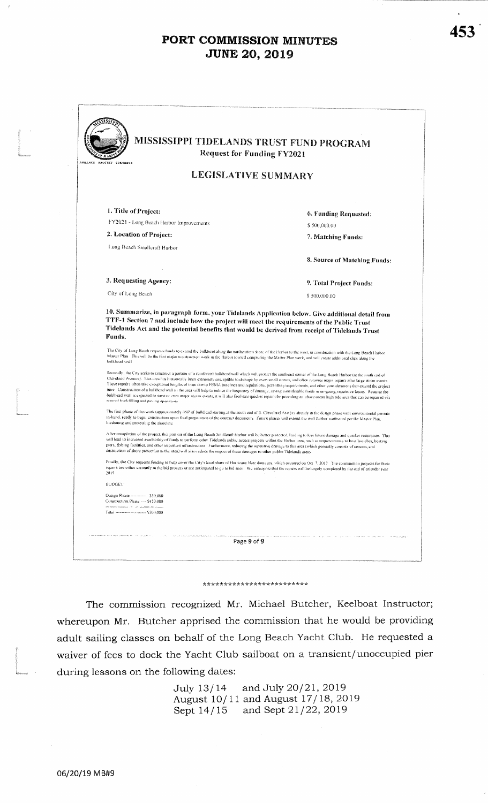| <b>Request for Funding FY2021</b><br>ENMANCE PROTECT CONSERVE                                                                                                                                                                                                                                                                                                                                                                                                                                                                                                                                                                                                                                                                                                                                                                                                                                                       |                              |
|---------------------------------------------------------------------------------------------------------------------------------------------------------------------------------------------------------------------------------------------------------------------------------------------------------------------------------------------------------------------------------------------------------------------------------------------------------------------------------------------------------------------------------------------------------------------------------------------------------------------------------------------------------------------------------------------------------------------------------------------------------------------------------------------------------------------------------------------------------------------------------------------------------------------|------------------------------|
| <b>LEGISLATIVE SUMMARY</b>                                                                                                                                                                                                                                                                                                                                                                                                                                                                                                                                                                                                                                                                                                                                                                                                                                                                                          |                              |
| 1. Title of Project:                                                                                                                                                                                                                                                                                                                                                                                                                                                                                                                                                                                                                                                                                                                                                                                                                                                                                                | 6. Funding Requested:        |
| FY2021 - Long Beach Harbor Improvements                                                                                                                                                                                                                                                                                                                                                                                                                                                                                                                                                                                                                                                                                                                                                                                                                                                                             | \$500,000.00                 |
| 2. Location of Project:                                                                                                                                                                                                                                                                                                                                                                                                                                                                                                                                                                                                                                                                                                                                                                                                                                                                                             | 7. Matching Funds:           |
| Long Beach Smallcraft Harbor                                                                                                                                                                                                                                                                                                                                                                                                                                                                                                                                                                                                                                                                                                                                                                                                                                                                                        |                              |
|                                                                                                                                                                                                                                                                                                                                                                                                                                                                                                                                                                                                                                                                                                                                                                                                                                                                                                                     | 8. Source of Matching Funds: |
| 3. Requesting Agency:                                                                                                                                                                                                                                                                                                                                                                                                                                                                                                                                                                                                                                                                                                                                                                                                                                                                                               | 9. Total Project Funds:      |
| City of Long Beach                                                                                                                                                                                                                                                                                                                                                                                                                                                                                                                                                                                                                                                                                                                                                                                                                                                                                                  | \$500,000.00                 |
| 10. Summarize, in paragraph form, your Tidelands Application below. Give additional detail from<br>TTF-1 Section 7 and include how the project will meet the requirements of the Public Trust<br>Tidelands Act and the potential benefits that would be derived from receipt of Tidelands Trust<br>Funds.<br>The City of Long Beach requests funds to extend the bulkhead along the northeastern shore of the Harbor to the west, in coordination with the Long Beach Harbor                                                                                                                                                                                                                                                                                                                                                                                                                                        |                              |
| Master Plan. This will be the first major construction work in the Harbor toward completing the Master Plan work, and will create additional slips along the<br>bulkhead wall                                                                                                                                                                                                                                                                                                                                                                                                                                                                                                                                                                                                                                                                                                                                       |                              |
| Secondly, the City seeks to construct a portion of a reinforced bulkbead wall which will protect the southeast corner of the Long Beach Harbor (at the south end of<br>Cleveland Avenue). This area has historically been extronely susceptible to damage by even small storius, and often requires major repairs after large storm events<br>These repairs often take exceptional lengths of time due to FEMA tunelines and regulations, permitting requirements, and other considerations that extend the project<br>tune. Construction of a bulkhead wall in the area will help to reduce the frequency of damage, saving considerable funds in on-going, repetitive losses. Because the<br>buldhead wall is expected to survive even major storm events, it will also facilitate quicker repairs by providing an above-mean high tide aren that can be repaired via<br>normal backfilling and paying operations |                              |
| The first phase of this work (approximately 450 of bulkhead starting at the south end of S. Cleveland Ave ) is already in the design phase with environmental permits<br>in-hand, ready to begin construction upon final preparation of the contract documents. Future phases will extend the wall further northward per the Master Plan,<br>hardening and protecting the shoreline                                                                                                                                                                                                                                                                                                                                                                                                                                                                                                                                 |                              |
| After completion of the project, this portion of the Long Beach Smallcraft Harbor will be better protected, leading to less finare damage and quicker restoration. This<br>will lead to increased availability of funds to perform other Tidelands public access projects within the Flarbor area, such as improvements to boat launches, boating<br>piers, fishing facilities, and other important infrastructure. Furthermore, reducing the repetitive damage to this area (which generally consists of crosion, and<br>destruction of shore protection in the area) will also reduce the impact of these damages to other public Tidelands areas.                                                                                                                                                                                                                                                                |                              |
| Finally, the City requests funding to help cover the City's local share of Hurricane Nate damages, which occurred on Oct 7, 2017. The construction projects for these<br>repairs are either currently in the bid process or are anticipated to go to bid soon. We anticipate that the repairs will be largely completed by the end of calendar year<br>2019                                                                                                                                                                                                                                                                                                                                                                                                                                                                                                                                                         |                              |
| <b>BUDGET</b>                                                                                                                                                                                                                                                                                                                                                                                                                                                                                                                                                                                                                                                                                                                                                                                                                                                                                                       |                              |
| Design Phase ---------- \$50,000<br>Construction Phase ---- \$450,000<br>$\mathcal{L}(\mathcal{C}(\mathcal{C}(\mathcal{C}(\mathcal{C}(\mathcal{C}(\mathcal{C}(\mathcal{C}(\mathcal{C}(\mathcal{C}(\mathcal{C}(\mathcal{C}(\mathcal{C}(\mathcal{C}(\mathcal{C}(\mathcal{C}(\mathcal{C}(\mathcal{C}(\mathcal{C}(\mathcal{C}(\mathcal{C}(\mathcal{C}(\mathcal{C}(\mathcal{C}(\mathcal{C}(\mathcal{C}(\mathcal{C}(\mathcal{C}(\mathcal{C}(\mathcal{C}(\mathcal{C}(\mathcal{C}(\mathcal{C}(\mathcal{C}(\mathcal{C}(\mathcal{C}(\mathcal{$                                                                                                                                                                                                                                                                                                                                                                                |                              |

#### \*\*\*\*\*\*\*\*\*\*\*\*\*\*\*\*\*\*\*\*\*\*\*\*\*

The commission recognized Mr. Michael Butcher, Keelboat Instructor; whereupon Mr. Butcher apprised the commission that he would be providing adult sailing classes on behalf of the Long Beach Yacht Club. He requested a waiver of fees to dock the Yacht Club sailboat on a transient/unoccupied pier during lessons on the following dates:

> and July 20/21, 2019 July 13/14 August 10/11 and August 17/18, 2019 Sept 14/15 and Sept 21/22, 2019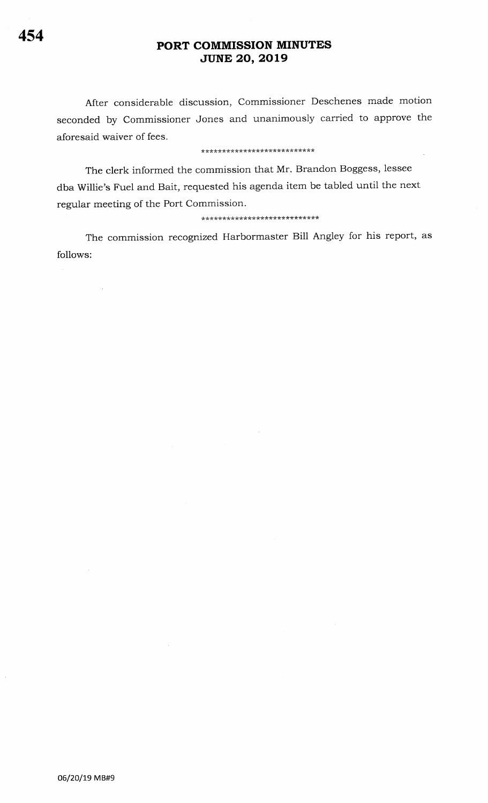After considerable discussion, Commissioner Deschenes made motion seconded by Commissioner Jones and unanimously carried to approve the aforesaid waiver of fees.

#### \*\*\*\*\*\*\*\*\*\*\*\*\*\*\*\*\*\*\*\*\*\*\*\*\*\*\*

The clerk informed the commission that Mr. Brandon Boggess, lessee dba Willie's Fuel and Bait, requested his agenda item be tabled until the next regular meeting of the Port Commission.

### \*\*\*\*\*\*\*\*\*\*\*\*\*\*\*\*\*\*\*\*\*\*\*\*\*\*\*\*

The commission recognized Harbormaster Bill Angley for his report, as follows:

 $\bar{\beta}$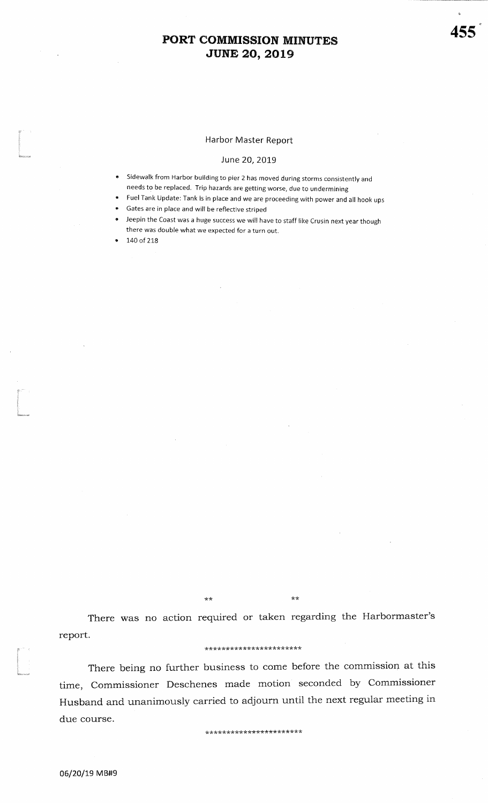### Harbor Master Report

#### June 20, 2019

- Sidewalk from Harbor building to pier 2 has moved during storms consistently and needs to be replaced. Trip hazards are getting worse, due to undermining
- Fuel Tank Update: Tank is in place and we are proceeding with power and all hook ups
- Gates are in place and will be reflective striped
- Jeepin the Coast was a huge success we will have to staff like Crusin next year though there was double what we expected for a turn out.

140 of 218

 $***$ 

There was no action required or taken regarding the Harbormaster's report.

 $\star$ 

#### \*\*\*\*\*\*\*\*\*\*\*\*\*\*\*\*\*\*\*\*\*\*\*

There being no further business to come before the commission at this time, Commissioner Deschenes made motion seconded by Commissioner Husband and unanimously carried to adjourn until the next regular meeting in due course.

\*\*\*\*\*\*\*\*\*\*\*\*\*\*\*\*\*\*\*\*\*\*\*